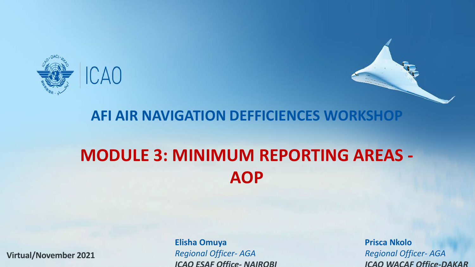

#### **AFI AIR NAVIGATION DEFFICIENCES WORKSHOP**

## **MODULE 3: MINIMUM REPORTING AREAS - AOP**

**Virtual/November 2021**

**Elisha Omuya Prisca Nkolo** *Regional Officer- AGA Regional Officer- AGA*

*ICAO ESAF Office- NAIROBI ICAO WACAF Office-DAKAR*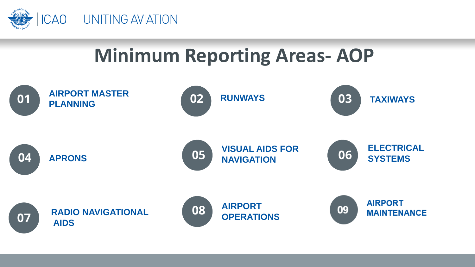

# **Minimum Reporting Areas- AOP**

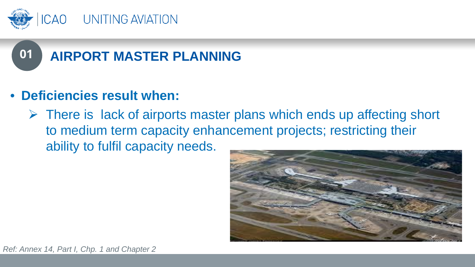



- **Deficiencies result when:**
	- $\triangleright$  There is lack of airports master plans which ends up affecting short to medium term capacity enhancement projects; restricting their ability to fulfil capacity needs.

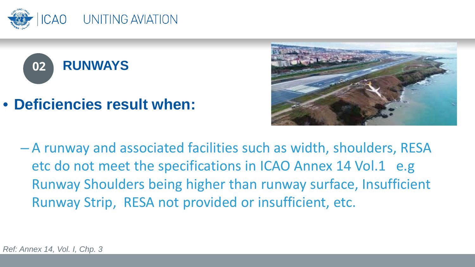





– A runway and associated facilities such as width, shoulders, RESA etc do not meet the specifications in ICAO Annex 14 Vol.1 e.g Runway Shoulders being higher than runway surface, Insufficient Runway Strip, RESA not provided or insufficient, etc.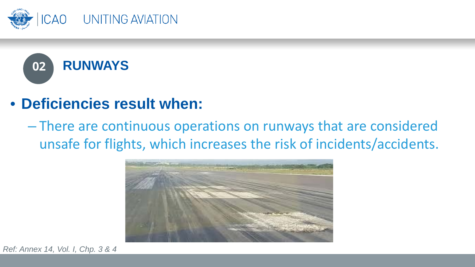



– There are continuous operations on runways that are considered unsafe for flights, which increases the risk of incidents/accidents.



*Ref: Annex 14, Vol. I, Chp. 3 & 4*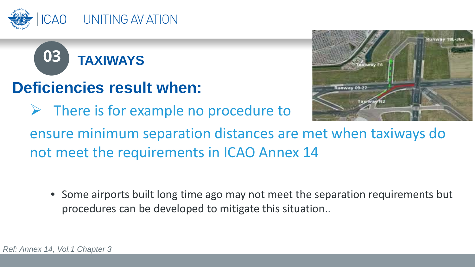



 $\triangleright$  There is for example no procedure to



ensure minimum separation distances are met when taxiways do not meet the requirements in ICAO Annex 14

• Some airports built long time ago may not meet the separation requirements but procedures can be developed to mitigate this situation..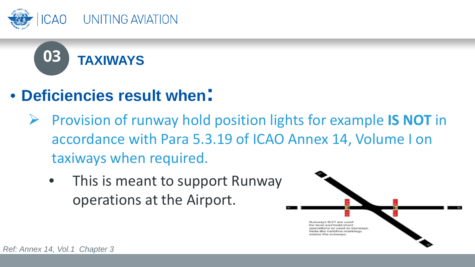



- Provision of runway hold position lights for example **IS NOT** in accordance with Para 5.3.19 of ICAO Annex 14, Volume I on taxiways when required.
	- This is meant to support Runway operations at the Airport.

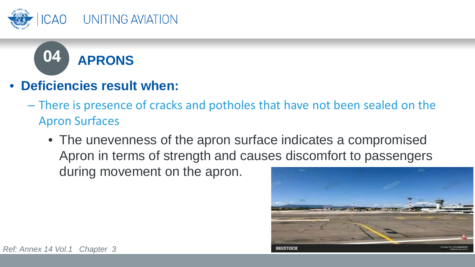



- **Deficiencies result when:**
	- There is presence of cracks and potholes that have not been sealed on the Apron Surfaces
		- The unevenness of the apron surface indicates a compromised Apron in terms of strength and causes discomfort to passengers during movement on the apron.

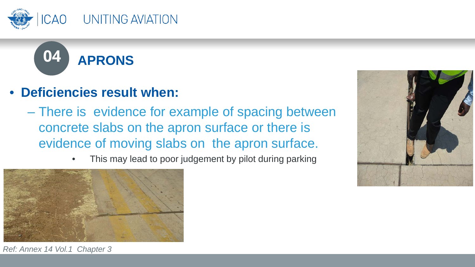



- There is evidence for example of spacing between concrete slabs on the apron surface or there is evidence of moving slabs on the apron surface.
	- This may lead to poor judgement by pilot during parking





*Ref: Annex 14 Vol.1 Chapter 3*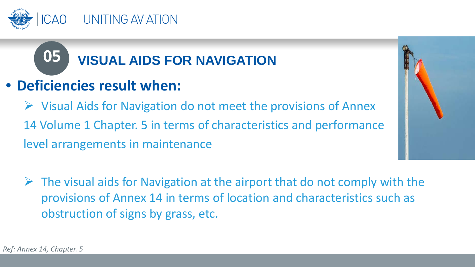

# **05 VISUAL AIDS FOR NAVIGATION**

### • **Deficiencies result when:**

 $\triangleright$  Visual Aids for Navigation do not meet the provisions of Annex 14 Volume 1 Chapter. 5 in terms of characteristics and performance level arrangements in maintenance



 $\triangleright$  The visual aids for Navigation at the airport that do not comply with the provisions of Annex 14 in terms of location and characteristics such as obstruction of signs by grass, etc.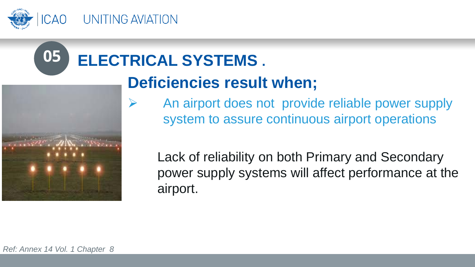

# **05 ELECTRICAL SYSTEMS .**



## **Deficiencies result when;**

 $\triangleright$  An airport does not provide reliable power supply system to assure continuous airport operations

Lack of reliability on both Primary and Secondary power supply systems will affect performance at the airport.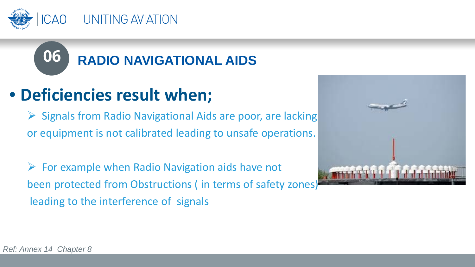

# **06 RADIO NAVIGATIONAL AIDS**

## • **Deficiencies result when;**

 $\triangleright$  Signals from Radio Navigational Aids are poor, are lacking or equipment is not calibrated leading to unsafe operations.

 $\triangleright$  For example when Radio Navigation aids have not been protected from Obstructions ( in terms of safety zones) leading to the interference of signals

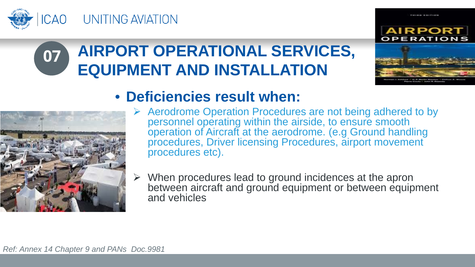

#### **AIRPORT OPERATIONAL SERVICES, EQUIPMENT AND INSTALLATION 07**





#### • **Deficiencies result when:**

- $\triangleright$  Aerodrome Operation Procedures are not being adhered to by personnel operating within the airside, to ensure smooth operation of Aircraft at the aerodrome. (e.g Ground handling procedures, Driver licensing Procedures, airport movement procedures etc).
- $\triangleright$  When procedures lead to ground incidences at the apron between aircraft and ground equipment or between equipment and vehicles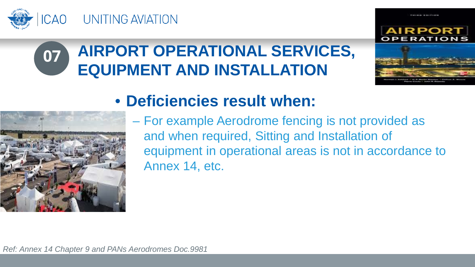

#### **AIRPORT OPERATIONAL SERVICES, EQUIPMENT AND INSTALLATION 07**



### • **Deficiencies result when:**



– For example Aerodrome fencing is not provided as and when required, Sitting and Installation of equipment in operational areas is not in accordance to Annex 14, etc.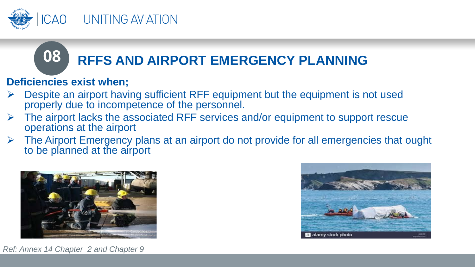

# **08** RFFS AND AIRPORT EMERGENCY PLANNING

#### **Deficiencies exist when;**

- $\triangleright$  Despite an airport having sufficient RFF equipment but the equipment is not used properly due to incompetence of the personnel.
- The airport lacks the associated RFF services and/or equipment to support rescue operations at the airport
- $\triangleright$  The Airport Emergency plans at an airport do not provide for all emergencies that ought to be planned at the airport





*Ref: Annex 14 Chapter 2 and Chapter 9*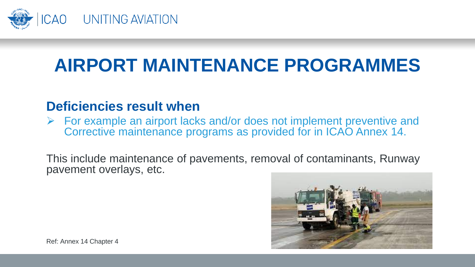

# **AIRPORT MAINTENANCE PROGRAMMES**

#### **Deficiencies result when**

 $\triangleright$  For example an airport lacks and/or does not implement preventive and Corrective maintenance programs as provided for in ICAO Annex 14.

This include maintenance of pavements, removal of contaminants, Runway pavement overlays, etc.